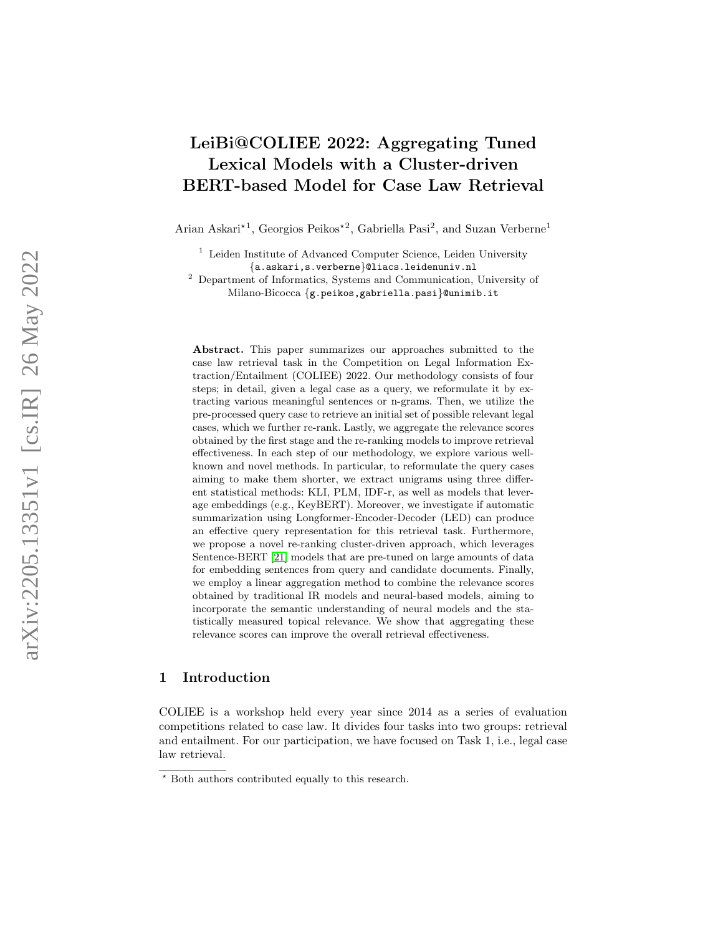# LeiBi@COLIEE 2022: Aggregating Tuned Lexical Models with a Cluster-driven BERT-based Model for Case Law Retrieval

Arian Askari<sup>\*1</sup>, Georgios Peikos<sup>\*2</sup>, Gabriella Pasi<sup>2</sup>, and Suzan Verberne<sup>1</sup>

 $^{\mathrm{1}}$  Leiden Institute of Advanced Computer Science, Leiden University {a.askari,s.verberne}@liacs.leidenuniv.nl

<sup>2</sup> Department of Informatics, Systems and Communication, University of Milano-Bicocca {g.peikos,gabriella.pasi }@unimib.it

Abstract. This paper summarizes our approaches submitted to the case law retrieval task in the Competition on Legal Information Extraction/Entailment (COLIEE) 2022. Our methodology consists of four steps; in detail, given a legal case as a query, we reformulate it by extracting various meaningful sentences or n-grams. Then, we utilize the pre-processed query case to retrieve an initial set of possible relevant legal cases, which we further re-rank. Lastly, we aggregate the relevance scores obtained by the first stage and the re-ranking models to improve retrieval effectiveness. In each step of our methodology, we explore various wellknown and novel methods. In particular, to reformulate the query cases aiming to make them shorter, we extract unigrams using three different statistical methods: KLI, PLM, IDF-r, as well as models that leverage embeddings (e.g., KeyBERT). Moreover, we investigate if automatic summarization using Longformer-Encoder-Decoder (LED) can produce an effective query representation for this retrieval task. Furthermore, we propose a novel re-ranking cluster-driven approach, which leverages Sentence-BERT [\[21\]](#page-13-0) models that are pre-tuned on large amounts of data for embedding sentences from query and candidate documents. Finally, we employ a linear aggregation method to combine the relevance scores obtained by traditional IR models and neural-based models, aiming to incorporate the semantic understanding of neural models and the statistically measured topical relevance. We show that aggregating these relevance scores can improve the overall retrieval effectiveness.

# 1 Introduction

COLIEE is a workshop held every year since 2014 as a series of evaluation competitions related to case law. It divides four tasks into two groups: retrieval and entailment. For our participation, we have focused on Task 1, i.e., legal case law retrieval.

<sup>?</sup> Both authors contributed equally to this research.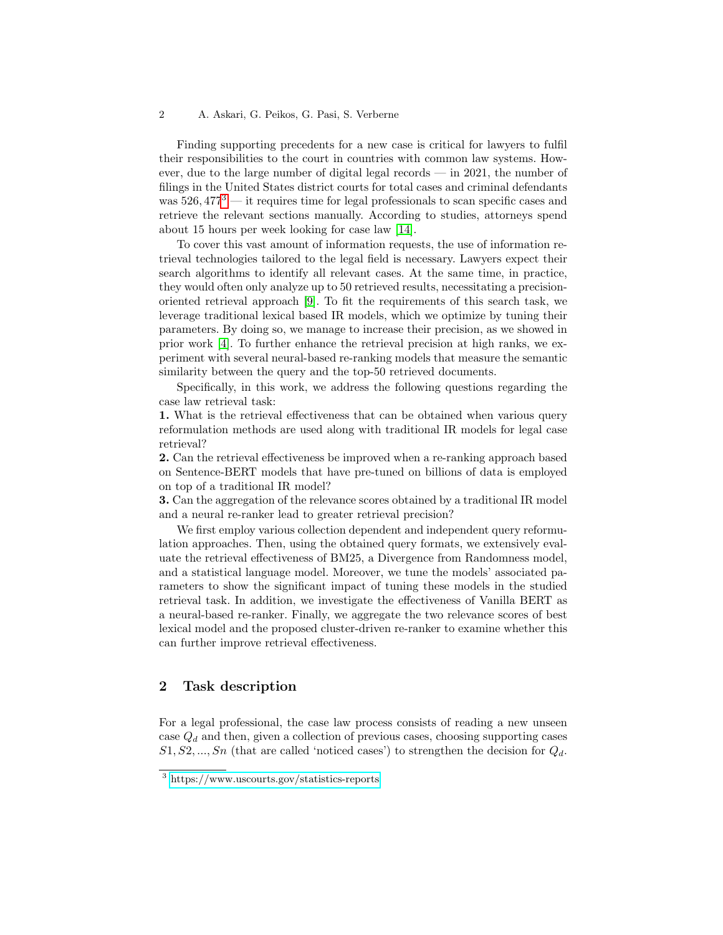#### 2 A. Askari, G. Peikos, G. Pasi, S. Verberne

Finding supporting precedents for a new case is critical for lawyers to fulfil their responsibilities to the court in countries with common law systems. However, due to the large number of digital legal records — in 2021, the number of filings in the United States district courts for total cases and criminal defendants was  $526,477<sup>3</sup>$  $526,477<sup>3</sup>$  $526,477<sup>3</sup>$  — it requires time for legal professionals to scan specific cases and retrieve the relevant sections manually. According to studies, attorneys spend about 15 hours per week looking for case law [\[14\]](#page-13-1).

To cover this vast amount of information requests, the use of information retrieval technologies tailored to the legal field is necessary. Lawyers expect their search algorithms to identify all relevant cases. At the same time, in practice, they would often only analyze up to 50 retrieved results, necessitating a precisionoriented retrieval approach [\[9\]](#page-13-2). To fit the requirements of this search task, we leverage traditional lexical based IR models, which we optimize by tuning their parameters. By doing so, we manage to increase their precision, as we showed in prior work [\[4\]](#page-12-0). To further enhance the retrieval precision at high ranks, we experiment with several neural-based re-ranking models that measure the semantic similarity between the query and the top-50 retrieved documents.

Specifically, in this work, we address the following questions regarding the case law retrieval task:

1. What is the retrieval effectiveness that can be obtained when various query reformulation methods are used along with traditional IR models for legal case retrieval?

2. Can the retrieval effectiveness be improved when a re-ranking approach based on Sentence-BERT models that have pre-tuned on billions of data is employed on top of a traditional IR model?

3. Can the aggregation of the relevance scores obtained by a traditional IR model and a neural re-ranker lead to greater retrieval precision?

We first employ various collection dependent and independent query reformulation approaches. Then, using the obtained query formats, we extensively evaluate the retrieval effectiveness of BM25, a Divergence from Randomness model, and a statistical language model. Moreover, we tune the models' associated parameters to show the significant impact of tuning these models in the studied retrieval task. In addition, we investigate the effectiveness of Vanilla BERT as a neural-based re-ranker. Finally, we aggregate the two relevance scores of best lexical model and the proposed cluster-driven re-ranker to examine whether this can further improve retrieval effectiveness.

## 2 Task description

For a legal professional, the case law process consists of reading a new unseen case  $Q_d$  and then, given a collection of previous cases, choosing supporting cases  $S_1, S_2, ..., S_n$  (that are called 'noticed cases') to strengthen the decision for  $Q_d$ .

<span id="page-1-0"></span><sup>3</sup> [https://www.uscourts.gov/statistics-reports](https://www.uscourts.gov/statistics-reports/federal-judicial-caseload-statistics-2021)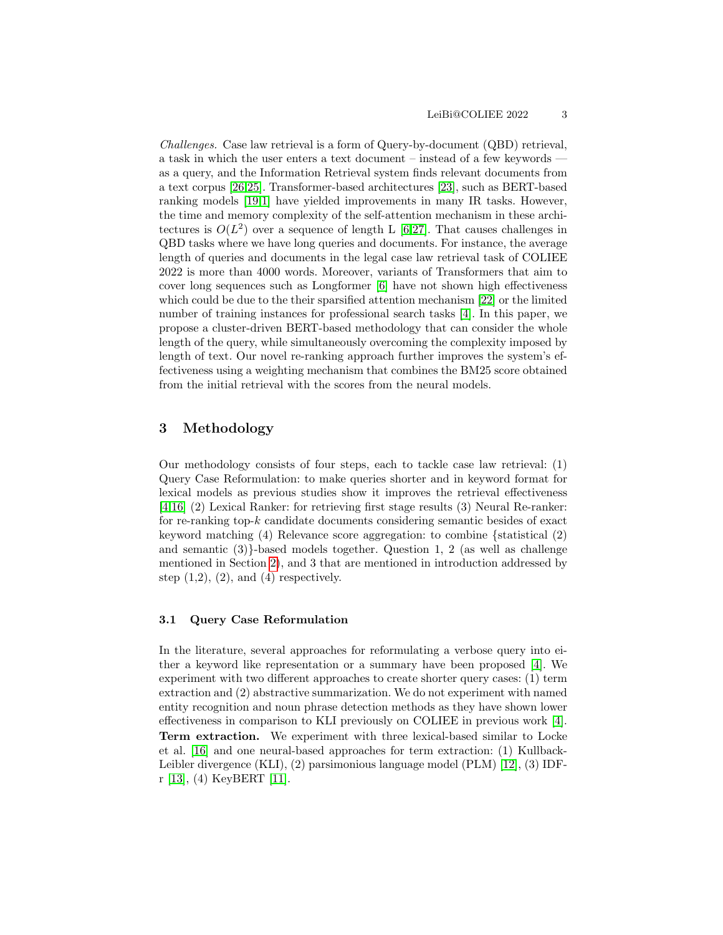<span id="page-2-0"></span>Challenges. Case law retrieval is a form of Query-by-document (QBD) retrieval, a task in which the user enters a text document – instead of a few keywords as a query, and the Information Retrieval system finds relevant documents from a text corpus [\[26,](#page-13-3)[25\]](#page-13-4). Transformer-based architectures [\[23\]](#page-13-5), such as BERT-based ranking models [\[19,](#page-13-6)[1\]](#page-12-1) have yielded improvements in many IR tasks. However, the time and memory complexity of the self-attention mechanism in these architectures is  $O(L^2)$  over a sequence of length L [\[6,](#page-12-2)[27\]](#page-13-7). That causes challenges in QBD tasks where we have long queries and documents. For instance, the average length of queries and documents in the legal case law retrieval task of COLIEE 2022 is more than 4000 words. Moreover, variants of Transformers that aim to cover long sequences such as Longformer [\[6\]](#page-12-2) have not shown high effectiveness which could be due to the their sparsified attention mechanism [\[22\]](#page-13-8) or the limited number of training instances for professional search tasks [\[4\]](#page-12-0). In this paper, we propose a cluster-driven BERT-based methodology that can consider the whole length of the query, while simultaneously overcoming the complexity imposed by length of text. Our novel re-ranking approach further improves the system's effectiveness using a weighting mechanism that combines the BM25 score obtained from the initial retrieval with the scores from the neural models.

# 3 Methodology

Our methodology consists of four steps, each to tackle case law retrieval: (1) Query Case Reformulation: to make queries shorter and in keyword format for lexical models as previous studies show it improves the retrieval effectiveness [\[4,](#page-12-0)[16\]](#page-13-9) (2) Lexical Ranker: for retrieving first stage results (3) Neural Re-ranker: for re-ranking top- $k$  candidate documents considering semantic besides of exact keyword matching (4) Relevance score aggregation: to combine {statistical (2) and semantic  $(3)$ -based models together. Question 1, 2 (as well as challenge mentioned in Section [2\)](#page-2-0), and 3 that are mentioned in introduction addressed by step  $(1,2)$ ,  $(2)$ , and  $(4)$  respectively.

#### 3.1 Query Case Reformulation

In the literature, several approaches for reformulating a verbose query into either a keyword like representation or a summary have been proposed [\[4\]](#page-12-0). We experiment with two different approaches to create shorter query cases: (1) term extraction and (2) abstractive summarization. We do not experiment with named entity recognition and noun phrase detection methods as they have shown lower effectiveness in comparison to KLI previously on COLIEE in previous work [\[4\]](#page-12-0). Term extraction. We experiment with three lexical-based similar to Locke et al. [\[16\]](#page-13-9) and one neural-based approaches for term extraction: (1) Kullback-Leibler divergence (KLI), (2) parsimonious language model (PLM) [\[12\]](#page-13-10), (3) IDFr [\[13\]](#page-13-11), (4) KeyBERT [\[11\]](#page-13-12).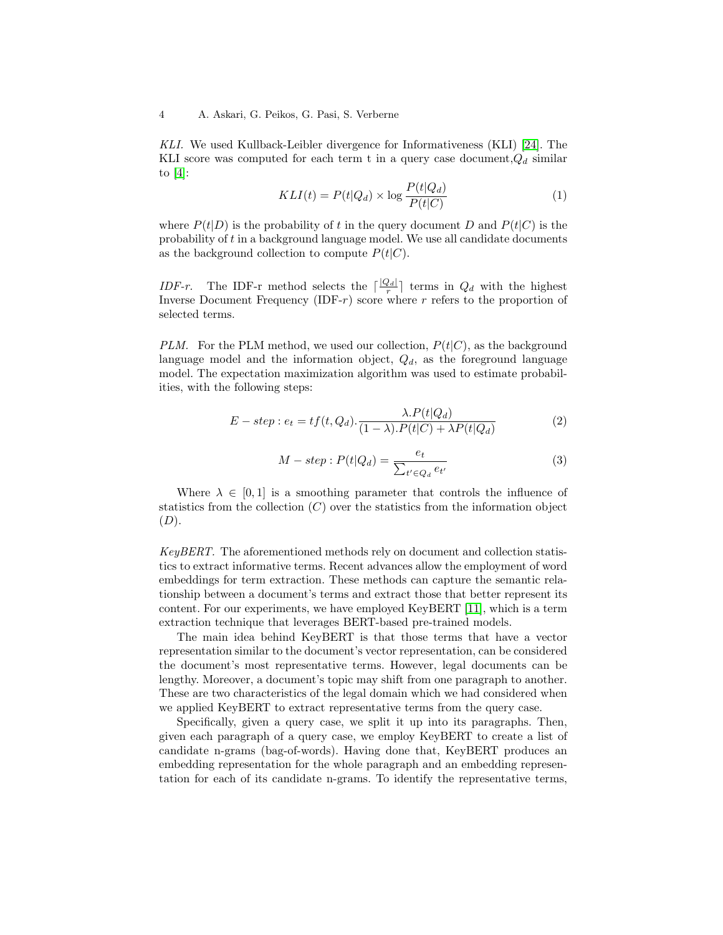KLI. We used Kullback-Leibler divergence for Informativeness (KLI) [\[24\]](#page-13-13). The KLI score was computed for each term t in a query case document,  $Q_d$  similar to  $[4]$ :

$$
KLI(t) = P(t|Q_d) \times \log \frac{P(t|Q_d)}{P(t|C)}
$$
\n<sup>(1)</sup>

where  $P(t|D)$  is the probability of t in the query document D and  $P(t|C)$  is the probability of t in a background language model. We use all candidate documents as the background collection to compute  $P(t|C)$ .

IDF-r. The IDF-r method selects the  $\lceil \frac{|Q_d|}{r} \rceil$  terms in  $Q_d$  with the highest Inverse Document Frequency (IDF- $r$ ) score where  $r$  refers to the proportion of selected terms.

PLM. For the PLM method, we used our collection,  $P(t|C)$ , as the background language model and the information object,  $Q_d$ , as the foreground language model. The expectation maximization algorithm was used to estimate probabilities, with the following steps:

$$
E - step : e_t = tf(t, Q_d) \cdot \frac{\lambda \cdot P(t|Q_d)}{(1 - \lambda) \cdot P(t|C) + \lambda P(t|Q_d)}
$$
(2)

$$
M - step : P(t|Q_d) = \frac{e_t}{\sum_{t' \in Q_d} e_{t'}} \tag{3}
$$

Where  $\lambda \in [0,1]$  is a smoothing parameter that controls the influence of statistics from the collection  $(C)$  over the statistics from the information object  $(D).$ 

KeyBERT. The aforementioned methods rely on document and collection statistics to extract informative terms. Recent advances allow the employment of word embeddings for term extraction. These methods can capture the semantic relationship between a document's terms and extract those that better represent its content. For our experiments, we have employed KeyBERT [\[11\]](#page-13-12), which is a term extraction technique that leverages BERT-based pre-trained models.

The main idea behind KeyBERT is that those terms that have a vector representation similar to the document's vector representation, can be considered the document's most representative terms. However, legal documents can be lengthy. Moreover, a document's topic may shift from one paragraph to another. These are two characteristics of the legal domain which we had considered when we applied KeyBERT to extract representative terms from the query case.

Specifically, given a query case, we split it up into its paragraphs. Then, given each paragraph of a query case, we employ KeyBERT to create a list of candidate n-grams (bag-of-words). Having done that, KeyBERT produces an embedding representation for the whole paragraph and an embedding representation for each of its candidate n-grams. To identify the representative terms,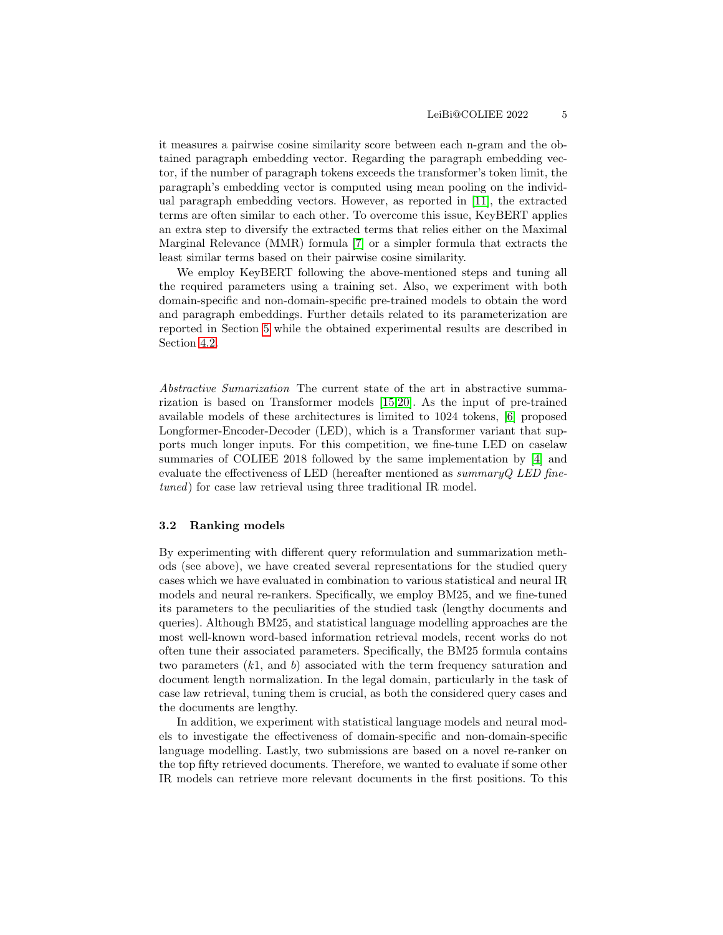it measures a pairwise cosine similarity score between each n-gram and the obtained paragraph embedding vector. Regarding the paragraph embedding vector, if the number of paragraph tokens exceeds the transformer's token limit, the paragraph's embedding vector is computed using mean pooling on the individual paragraph embedding vectors. However, as reported in [\[11\]](#page-13-12), the extracted terms are often similar to each other. To overcome this issue, KeyBERT applies an extra step to diversify the extracted terms that relies either on the Maximal Marginal Relevance (MMR) formula [\[7\]](#page-12-3) or a simpler formula that extracts the least similar terms based on their pairwise cosine similarity.

We employ KeyBERT following the above-mentioned steps and tuning all the required parameters using a training set. Also, we experiment with both domain-specific and non-domain-specific pre-trained models to obtain the word and paragraph embeddings. Further details related to its parameterization are reported in Section [5](#page-8-0) while the obtained experimental results are described in Section [4.2.](#page-6-0)

Abstractive Sumarization The current state of the art in abstractive summarization is based on Transformer models [\[15,](#page-13-14)[20\]](#page-13-15). As the input of pre-trained available models of these architectures is limited to 1024 tokens, [\[6\]](#page-12-2) proposed Longformer-Encoder-Decoder (LED), which is a Transformer variant that supports much longer inputs. For this competition, we fine-tune LED on caselaw summaries of COLIEE 2018 followed by the same implementation by [\[4\]](#page-12-0) and evaluate the effectiveness of LED (hereafter mentioned as  $summaryQLED$  finetuned) for case law retrieval using three traditional IR model.

## 3.2 Ranking models

By experimenting with different query reformulation and summarization methods (see above), we have created several representations for the studied query cases which we have evaluated in combination to various statistical and neural IR models and neural re-rankers. Specifically, we employ BM25, and we fine-tuned its parameters to the peculiarities of the studied task (lengthy documents and queries). Although BM25, and statistical language modelling approaches are the most well-known word-based information retrieval models, recent works do not often tune their associated parameters. Specifically, the BM25 formula contains two parameters  $(k1, \text{ and } b)$  associated with the term frequency saturation and document length normalization. In the legal domain, particularly in the task of case law retrieval, tuning them is crucial, as both the considered query cases and the documents are lengthy.

In addition, we experiment with statistical language models and neural models to investigate the effectiveness of domain-specific and non-domain-specific language modelling. Lastly, two submissions are based on a novel re-ranker on the top fifty retrieved documents. Therefore, we wanted to evaluate if some other IR models can retrieve more relevant documents in the first positions. To this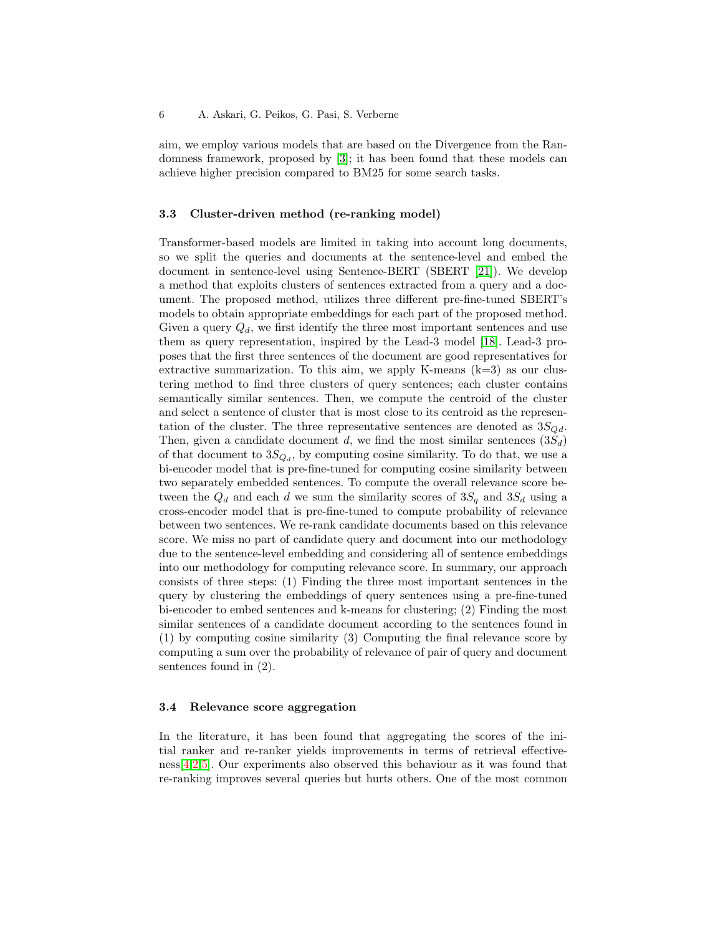aim, we employ various models that are based on the Divergence from the Randomness framework, proposed by [\[3\]](#page-12-4); it has been found that these models can achieve higher precision compared to BM25 for some search tasks.

## 3.3 Cluster-driven method (re-ranking model)

Transformer-based models are limited in taking into account long documents, so we split the queries and documents at the sentence-level and embed the document in sentence-level using Sentence-BERT (SBERT [\[21\]](#page-13-0)). We develop a method that exploits clusters of sentences extracted from a query and a document. The proposed method, utilizes three different pre-fine-tuned SBERT's models to obtain appropriate embeddings for each part of the proposed method. Given a query  $Q_d$ , we first identify the three most important sentences and use them as query representation, inspired by the Lead-3 model [\[18\]](#page-13-16). Lead-3 proposes that the first three sentences of the document are good representatives for extractive summarization. To this aim, we apply K-means  $(k=3)$  as our clustering method to find three clusters of query sentences; each cluster contains semantically similar sentences. Then, we compute the centroid of the cluster and select a sentence of cluster that is most close to its centroid as the representation of the cluster. The three representative sentences are denoted as  $3S_{Qd}$ . Then, given a candidate document d, we find the most similar sentences  $(3S_d)$ of that document to  $3S_{Q_d}$ , by computing cosine similarity. To do that, we use a bi-encoder model that is pre-fine-tuned for computing cosine similarity between two separately embedded sentences. To compute the overall relevance score between the  $Q_d$  and each d we sum the similarity scores of  $3S_q$  and  $3S_d$  using a cross-encoder model that is pre-fine-tuned to compute probability of relevance between two sentences. We re-rank candidate documents based on this relevance score. We miss no part of candidate query and document into our methodology due to the sentence-level embedding and considering all of sentence embeddings into our methodology for computing relevance score. In summary, our approach consists of three steps: (1) Finding the three most important sentences in the query by clustering the embeddings of query sentences using a pre-fine-tuned bi-encoder to embed sentences and k-means for clustering; (2) Finding the most similar sentences of a candidate document according to the sentences found in (1) by computing cosine similarity (3) Computing the final relevance score by computing a sum over the probability of relevance of pair of query and document sentences found in (2).

## <span id="page-5-0"></span>3.4 Relevance score aggregation

In the literature, it has been found that aggregating the scores of the initial ranker and re-ranker yields improvements in terms of retrieval effective- $ness[4,2,5]$  $ness[4,2,5]$  $ness[4,2,5]$  $ness[4,2,5]$ . Our experiments also observed this behaviour as it was found that re-ranking improves several queries but hurts others. One of the most common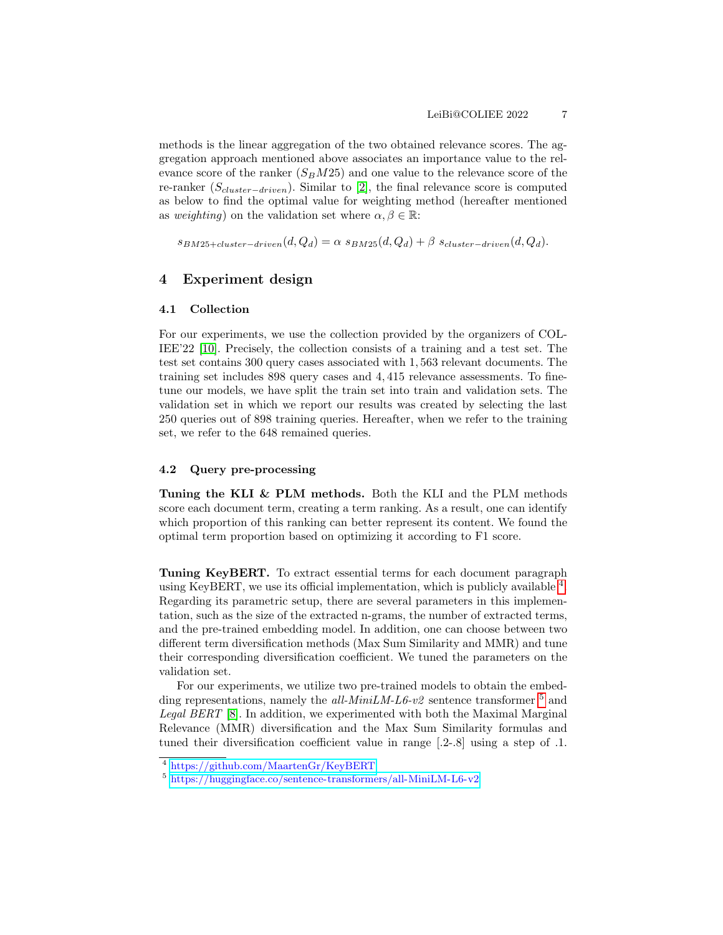methods is the linear aggregation of the two obtained relevance scores. The aggregation approach mentioned above associates an importance value to the relevance score of the ranker  $(S_B M 25)$  and one value to the relevance score of the re-ranker (S<sub>cluster-driven</sub>). Similar to [\[2\]](#page-12-5), the final relevance score is computed as below to find the optimal value for weighting method (hereafter mentioned as weighting) on the validation set where  $\alpha, \beta \in \mathbb{R}$ :

 $s_{BM25+cluster-driven}(d, Q_d) = \alpha \; s_{BM25}(d, Q_d) + \beta \; s_{cluster-driven}(d, Q_d).$ 

# 4 Experiment design

## <span id="page-6-3"></span>4.1 Collection

For our experiments, we use the collection provided by the organizers of COL-IEE'22 [\[10\]](#page-13-17). Precisely, the collection consists of a training and a test set. The test set contains 300 query cases associated with 1, 563 relevant documents. The training set includes 898 query cases and 4, 415 relevance assessments. To finetune our models, we have split the train set into train and validation sets. The validation set in which we report our results was created by selecting the last 250 queries out of 898 training queries. Hereafter, when we refer to the training set, we refer to the 648 remained queries.

#### 4.2 Query pre-processing

Tuning the KLI & PLM methods. Both the KLI and the PLM methods score each document term, creating a term ranking. As a result, one can identify which proportion of this ranking can better represent its content. We found the optimal term proportion based on optimizing it according to F1 score.

<span id="page-6-0"></span>Tuning KeyBERT. To extract essential terms for each document paragraph using KeyBERT, we use its official implementation, which is publicly available <sup>[4](#page-6-1)</sup>. Regarding its parametric setup, there are several parameters in this implementation, such as the size of the extracted n-grams, the number of extracted terms, and the pre-trained embedding model. In addition, one can choose between two different term diversification methods (Max Sum Similarity and MMR) and tune their corresponding diversification coefficient. We tuned the parameters on the validation set.

For our experiments, we utilize two pre-trained models to obtain the embedding representations, namely the all-MiniLM-L6-v2 sentence transformer  $^5$  $^5$  and Legal BERT [\[8\]](#page-12-7). In addition, we experimented with both the Maximal Marginal Relevance (MMR) diversification and the Max Sum Similarity formulas and tuned their diversification coefficient value in range [.2-.8] using a step of .1.

<span id="page-6-1"></span><sup>4</sup> <https://github.com/MaartenGr/KeyBERT>

<span id="page-6-2"></span><sup>5</sup> <https://huggingface.co/sentence-transformers/all-MiniLM-L6-v2>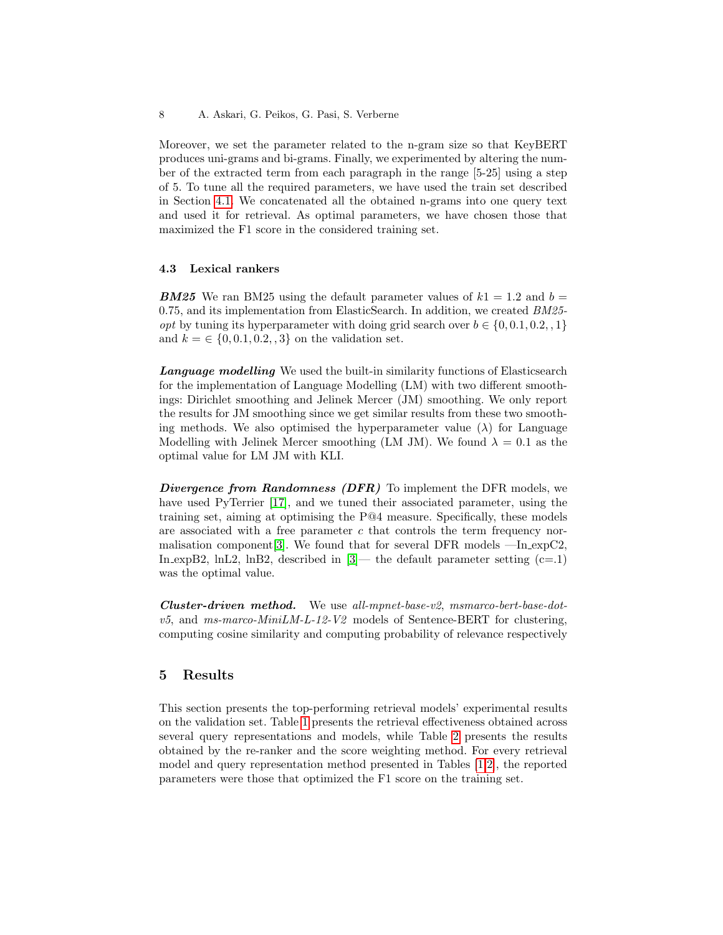Moreover, we set the parameter related to the n-gram size so that KeyBERT produces uni-grams and bi-grams. Finally, we experimented by altering the number of the extracted term from each paragraph in the range [5-25] using a step of 5. To tune all the required parameters, we have used the train set described in Section [4.1.](#page-6-3) We concatenated all the obtained n-grams into one query text and used it for retrieval. As optimal parameters, we have chosen those that maximized the F1 score in the considered training set.

### 4.3 Lexical rankers

**BM25** We ran BM25 using the default parameter values of  $k_1 = 1.2$  and  $b =$ 0.75, and its implementation from ElasticSearch. In addition, we created BM25 *opt* by tuning its hyperparameter with doing grid search over  $b \in \{0, 0.1, 0.2, 1\}$ and  $k = \{0, 0.1, 0.2, 3\}$  on the validation set.

**Language modelling** We used the built-in similarity functions of Elasticsearch for the implementation of Language Modelling (LM) with two different smoothings: Dirichlet smoothing and Jelinek Mercer (JM) smoothing. We only report the results for JM smoothing since we get similar results from these two smoothing methods. We also optimised the hyperparameter value  $(\lambda)$  for Language Modelling with Jelinek Mercer smoothing (LM JM). We found  $\lambda = 0.1$  as the optimal value for LM JM with KLI.

Divergence from Randomness (DFR) To implement the DFR models, we have used PyTerrier [\[17\]](#page-13-18), and we tuned their associated parameter, using the training set, aiming at optimising the P@4 measure. Specifically, these models are associated with a free parameter c that controls the term frequency nor-malisation component [\[3\]](#page-12-4). We found that for several DFR models  $-\text{In-expC2}$ , In expB2, lnL2, lnB2, described in  $[3]$ — the default parameter setting  $(c=1)$ was the optimal value.

Cluster-driven method. We use all-mpnet-base-v2, msmarco-bert-base-dot $v5$ , and ms-marco-MiniLM-L-12-V2 models of Sentence-BERT for clustering, computing cosine similarity and computing probability of relevance respectively

# 5 Results

This section presents the top-performing retrieval models' experimental results on the validation set. Table [1](#page-8-1) presents the retrieval effectiveness obtained across several query representations and models, while Table [2](#page-9-0) presents the results obtained by the re-ranker and the score weighting method. For every retrieval model and query representation method presented in Tables [\[1,](#page-8-1)[2\]](#page-9-0), the reported parameters were those that optimized the F1 score on the training set.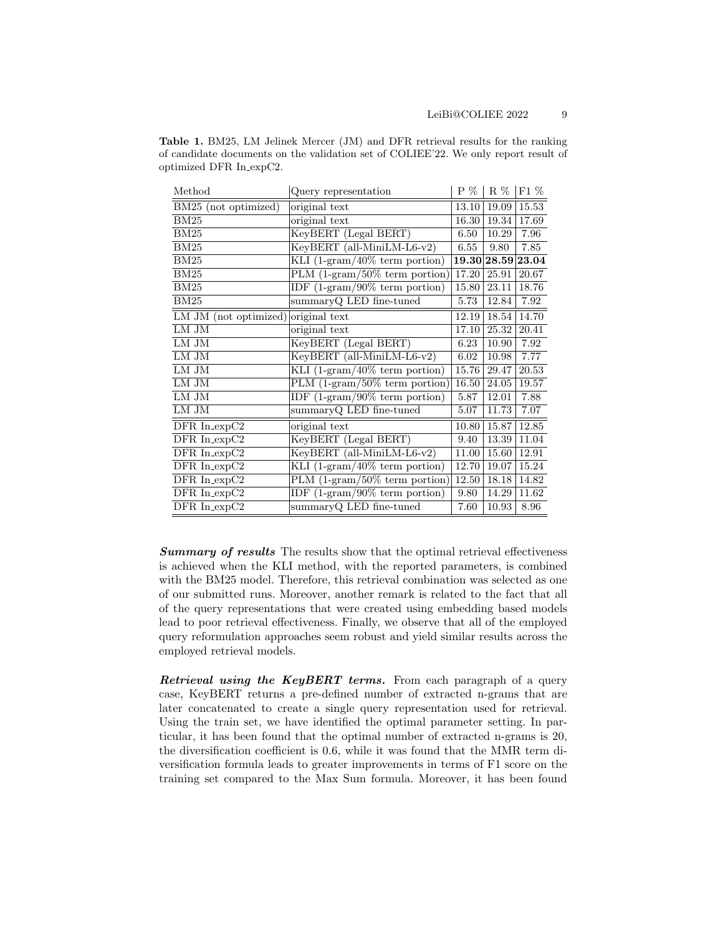<span id="page-8-1"></span>

| <b>Table 1.</b> BM25, LM Jelinek Mercer (JM) and DFR retrieval results for the ranking |
|----------------------------------------------------------------------------------------|
| of candidate documents on the validation set of COLIEE'22. We only report result of    |
| optimized DFR In_expC2.                                                                |

| Method                              | Query representation                            | $P \%$ | $R\%$       | $F1\%$ |
|-------------------------------------|-------------------------------------------------|--------|-------------|--------|
| BM25 (not optimized)                | original text                                   | 13.10  | 19.09       | 15.53  |
| BM25                                | original text                                   | 16.30  | 19.34       | 17.69  |
| BM25                                | KeyBERT (Legal BERT)                            | 6.50   | 10.29       | 7.96   |
| BM25                                | KeyBERT (all-MiniLM-L6-v2)                      | 6.55   | 9.80        | 7.85   |
| BM25                                | KLI $(1-\frac{1}{2}$ (1-gram/40% term portion)  |        | 19.30 28.59 | 23.04  |
| BM25                                | PLM $(1\text{-gram}/50\% \text{ term portion})$ | 17.20  | 25.91       | 20.67  |
| BM25                                | IDF $(1-\mathrm{gram}/90\%$ term portion)       | 15.80  | 23.11       | 18.76  |
| $\overline{\mathrm{BM}}25$          | summaryQ LED fine-tuned                         | 5.73   | 12.84       | 7.92   |
| LM JM (not optimized) original text |                                                 | 12.19  | 18.54       | 14.70  |
| LM JM                               | original text                                   | 17.10  | 25.32       | 20.41  |
| LM JM                               | KeyBERT (Legal BERT)                            | 6.23   | 10.90       | 7.92   |
| ${\rm LM\ JM}$                      | KeyBERT (all-MiniLM-L6-v2)                      | 6.02   | 10.98       | 7.77   |
| ${\rm LM\ JM}$                      | KLI $(1\text{-gram}/40\% \text{ term portion})$ | 15.76  | 29.47       | 20.53  |
| LM JM                               | PLM $(1\text{-gram}/50\% \text{ term portion})$ | 16.50  | 24.05       | 19.57  |
| ${\rm LM\ JM}$                      | IDF $(1\text{-gram}/90\% \text{ term portion})$ | 5.87   | 12.01       | 7.88   |
| ${\rm LM\ JM}$                      | summaryQ LED fine-tuned                         | 5.07   | 11.73       | 7.07   |
| DFR In_expC2                        | original text                                   | 10.80  | 15.87       | 12.85  |
| DFR In_expC2                        | KeyBERT (Legal BERT)                            | 9.40   | 13.39       | 11.04  |
| DFR In_expC2                        | KeyBERT (all-MiniLM-L6-v2)                      | 11.00  | 15.60       | 12.91  |
| DFR In_expC2                        | KLI $(1\text{-gram}/40\% \text{ term portion})$ | 12.70  | 19.07       | 15.24  |
| $DFR$ In_ $expC2$                   | PLM $(1\text{-gram}/50\% \text{ term portion})$ | 12.50  | 18.18       | 14.82  |
| DFR In_expC2                        | IDF $(1-\text{gram}/90\%$ term portion)         | 9.80   | $14.29\,$   | 11.62  |
| DFR In_expC2                        | summaryQ LED fine-tuned                         | 7.60   | 10.93       | 8.96   |

Summary of results The results show that the optimal retrieval effectiveness is achieved when the KLI method, with the reported parameters, is combined with the BM25 model. Therefore, this retrieval combination was selected as one of our submitted runs. Moreover, another remark is related to the fact that all of the query representations that were created using embedding based models lead to poor retrieval effectiveness. Finally, we observe that all of the employed query reformulation approaches seem robust and yield similar results across the employed retrieval models.

<span id="page-8-0"></span>Retrieval using the KeyBERT terms. From each paragraph of a query case, KeyBERT returns a pre-defined number of extracted n-grams that are later concatenated to create a single query representation used for retrieval. Using the train set, we have identified the optimal parameter setting. In particular, it has been found that the optimal number of extracted n-grams is 20, the diversification coefficient is 0.6, while it was found that the MMR term diversification formula leads to greater improvements in terms of F1 score on the training set compared to the Max Sum formula. Moreover, it has been found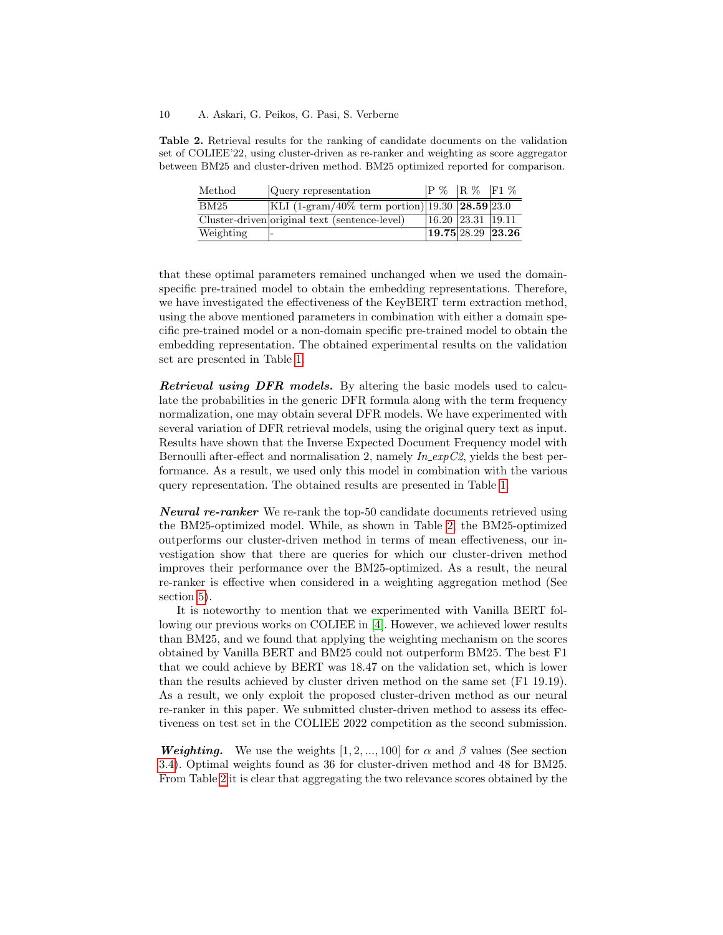#### 10 A. Askari, G. Peikos, G. Pasi, S. Verberne

<span id="page-9-0"></span>Table 2. Retrieval results for the ranking of candidate documents on the validation set of COLIEE'22, using cluster-driven as re-ranker and weighting as score aggregator between BM25 and cluster-driven method. BM25 optimized reported for comparison.

| Method    | Query representation                                    | P % R % F1 %                  |  |
|-----------|---------------------------------------------------------|-------------------------------|--|
| BM25      | KLI (1-gram/40% term portion)  19.30   $28.59$   $23.0$ |                               |  |
|           | Cluster-driven original text (sentence-level)           | 16.20 23.31 19.11             |  |
| Weighting |                                                         | $19.75\overline{28.29}$ 23.26 |  |

that these optimal parameters remained unchanged when we used the domainspecific pre-trained model to obtain the embedding representations. Therefore, we have investigated the effectiveness of the KeyBERT term extraction method, using the above mentioned parameters in combination with either a domain specific pre-trained model or a non-domain specific pre-trained model to obtain the embedding representation. The obtained experimental results on the validation set are presented in Table [1.](#page-8-1)

Retrieval using DFR models. By altering the basic models used to calculate the probabilities in the generic DFR formula along with the term frequency normalization, one may obtain several DFR models. We have experimented with several variation of DFR retrieval models, using the original query text as input. Results have shown that the Inverse Expected Document Frequency model with Bernoulli after-effect and normalisation 2, namely  $In \text{exp}C2$ , yields the best performance. As a result, we used only this model in combination with the various query representation. The obtained results are presented in Table [1.](#page-8-1)

**Neural re-ranker** We re-rank the top-50 candidate documents retrieved using the BM25-optimized model. While, as shown in Table [2,](#page-9-0) the BM25-optimized outperforms our cluster-driven method in terms of mean effectiveness, our investigation show that there are queries for which our cluster-driven method improves their performance over the BM25-optimized. As a result, the neural re-ranker is effective when considered in a weighting aggregation method (See section [5\)](#page-9-1).

It is noteworthy to mention that we experimented with Vanilla BERT following our previous works on COLIEE in [\[4\]](#page-12-0). However, we achieved lower results than BM25, and we found that applying the weighting mechanism on the scores obtained by Vanilla BERT and BM25 could not outperform BM25. The best F1 that we could achieve by BERT was 18.47 on the validation set, which is lower than the results achieved by cluster driven method on the same set (F1 19.19). As a result, we only exploit the proposed cluster-driven method as our neural re-ranker in this paper. We submitted cluster-driven method to assess its effectiveness on test set in the COLIEE 2022 competition as the second submission.

<span id="page-9-1"></span>**Weighting.** We use the weights  $[1, 2, ..., 100]$  for  $\alpha$  and  $\beta$  values (See section [3.4\)](#page-5-0). Optimal weights found as 36 for cluster-driven method and 48 for BM25. From Table [2](#page-9-0) it is clear that aggregating the two relevance scores obtained by the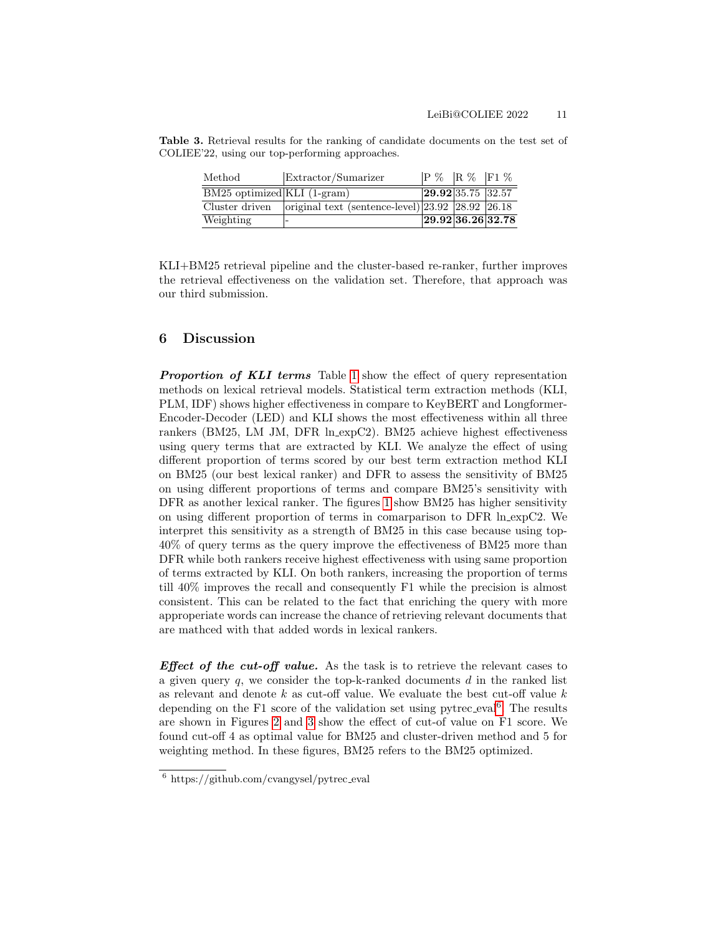Table 3. Retrieval results for the ranking of candidate documents on the test set of COLIEE'22, using our top-performing approaches.

<span id="page-10-1"></span>

| Method                      | Extractor/Sumarizer                                    | P % R % F1 %                 |  |
|-----------------------------|--------------------------------------------------------|------------------------------|--|
| BM25 optimized KLI (1-gram) |                                                        | 29.92 35.75 32.57            |  |
| Cluster driven              | original text (sentence-level) $23.92$ $28.92$ $26.18$ |                              |  |
| Weighting                   |                                                        | $\sqrt{29.92\,36.26\,32.78}$ |  |

KLI+BM25 retrieval pipeline and the cluster-based re-ranker, further improves the retrieval effectiveness on the validation set. Therefore, that approach was our third submission.

## 6 Discussion

**Proportion of KLI terms** Table [1](#page-8-1) show the effect of query representation methods on lexical retrieval models. Statistical term extraction methods (KLI, PLM, IDF) shows higher effectiveness in compare to KeyBERT and Longformer-Encoder-Decoder (LED) and KLI shows the most effectiveness within all three rankers (BM25, LM JM, DFR ln expC2). BM25 achieve highest effectiveness using query terms that are extracted by KLI. We analyze the effect of using different proportion of terms scored by our best term extraction method KLI on BM25 (our best lexical ranker) and DFR to assess the sensitivity of BM25 on using different proportions of terms and compare BM25's sensitivity with DFR as another lexical ranker. The figures [1](#page-11-0) show BM25 has higher sensitivity on using different proportion of terms in comarparison to DFR ln expC2. We interpret this sensitivity as a strength of BM25 in this case because using top-40% of query terms as the query improve the effectiveness of BM25 more than DFR while both rankers receive highest effectiveness with using same proportion of terms extracted by KLI. On both rankers, increasing the proportion of terms till 40% improves the recall and consequently F1 while the precision is almost consistent. This can be related to the fact that enriching the query with more approperiate words can increase the chance of retrieving relevant documents that are mathced with that added words in lexical rankers.

**Effect of the cut-off value.** As the task is to retrieve the relevant cases to a given query q, we consider the top-k-ranked documents  $d$  in the ranked list as relevant and denote  $k$  as cut-off value. We evaluate the best cut-off value  $k$ depending on the F1 score of the validation set using pytrec\_eval<sup>[6](#page-10-0)</sup>. The results are shown in Figures [2](#page-11-1) and [3](#page-11-2) show the effect of cut-of value on F1 score. We found cut-off 4 as optimal value for BM25 and cluster-driven method and 5 for weighting method. In these figures, BM25 refers to the BM25 optimized.

<span id="page-10-0"></span> $6 \text{ https://github.com/cvangysel/pytree\_eval}$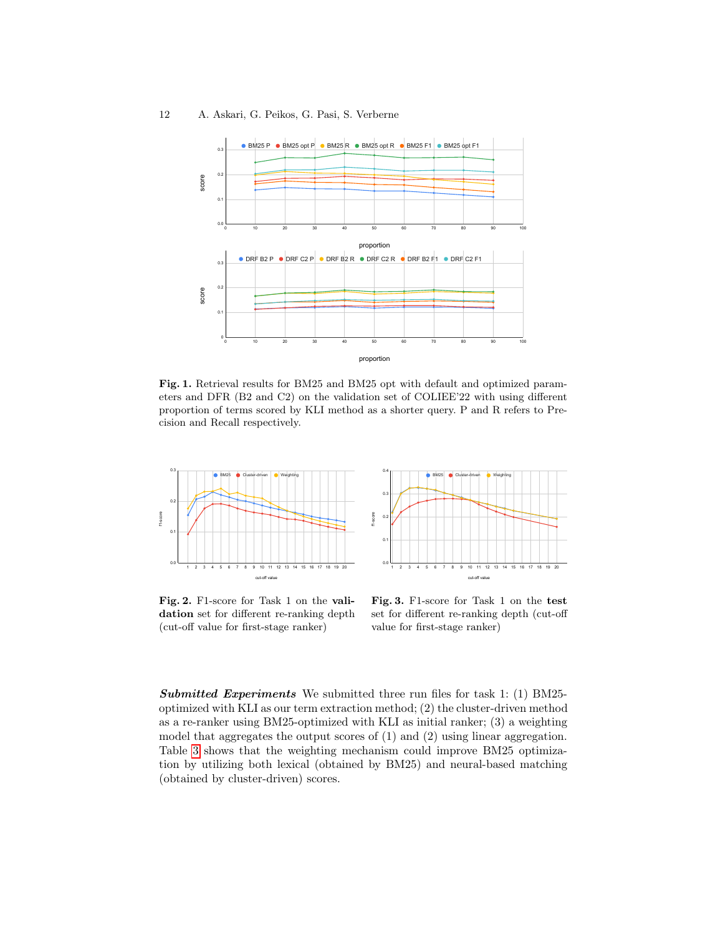#### 12 A. Askari, G. Peikos, G. Pasi, S. Verberne



<span id="page-11-0"></span>Fig. 1. Retrieval results for BM25 and BM25 opt with default and optimized parameters and DFR (B2 and C2) on the validation set of COLIEE'22 with using different proportion of terms scored by KLI method as a shorter query. P and R refers to Precision and Recall respectively.



<span id="page-11-1"></span>Fig. 2. F1-score for Task 1 on the validation set for different re-ranking depth (cut-off value for first-stage ranker)



<span id="page-11-2"></span>Fig. 3. F1-score for Task 1 on the test set for different re-ranking depth (cut-off value for first-stage ranker)

Submitted Experiments We submitted three run files for task 1: (1) BM25optimized with KLI as our term extraction method; (2) the cluster-driven method as a re-ranker using BM25-optimized with KLI as initial ranker; (3) a weighting model that aggregates the output scores of (1) and (2) using linear aggregation. Table [3](#page-10-1) shows that the weighting mechanism could improve BM25 optimization by utilizing both lexical (obtained by BM25) and neural-based matching (obtained by cluster-driven) scores.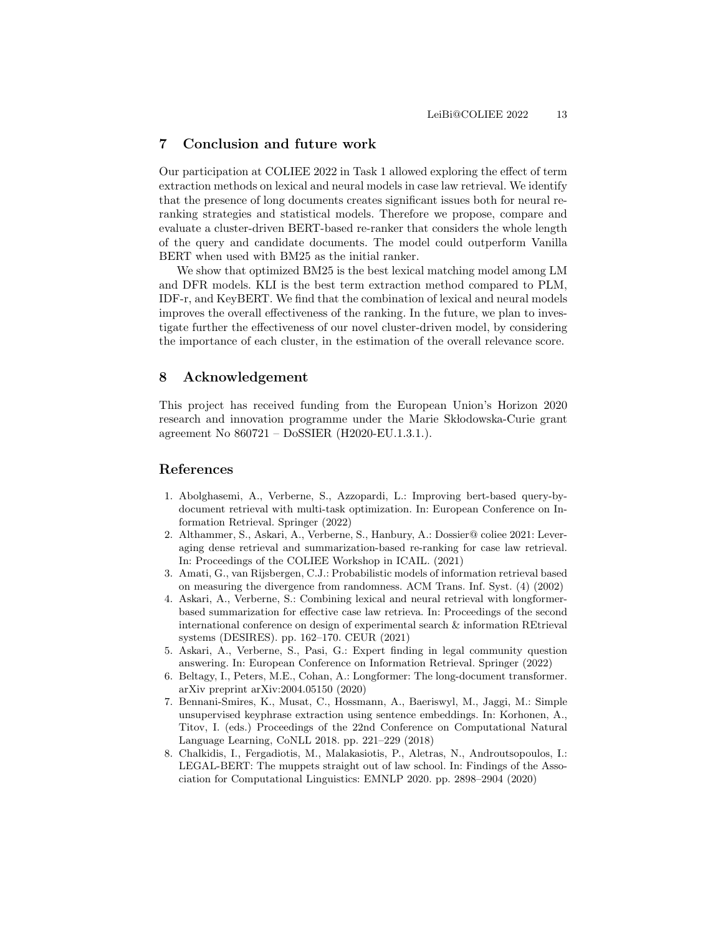# 7 Conclusion and future work

Our participation at COLIEE 2022 in Task 1 allowed exploring the effect of term extraction methods on lexical and neural models in case law retrieval. We identify that the presence of long documents creates significant issues both for neural reranking strategies and statistical models. Therefore we propose, compare and evaluate a cluster-driven BERT-based re-ranker that considers the whole length of the query and candidate documents. The model could outperform Vanilla BERT when used with BM25 as the initial ranker.

We show that optimized BM25 is the best lexical matching model among LM and DFR models. KLI is the best term extraction method compared to PLM, IDF-r, and KeyBERT. We find that the combination of lexical and neural models improves the overall effectiveness of the ranking. In the future, we plan to investigate further the effectiveness of our novel cluster-driven model, by considering the importance of each cluster, in the estimation of the overall relevance score.

## 8 Acknowledgement

This project has received funding from the European Union's Horizon 2020 research and innovation programme under the Marie Sk lodowska-Curie grant agreement No 860721 – DoSSIER (H2020-EU.1.3.1.).

## References

- <span id="page-12-1"></span>1. Abolghasemi, A., Verberne, S., Azzopardi, L.: Improving bert-based query-bydocument retrieval with multi-task optimization. In: European Conference on Information Retrieval. Springer (2022)
- <span id="page-12-5"></span>2. Althammer, S., Askari, A., Verberne, S., Hanbury, A.: Dossier@ coliee 2021: Leveraging dense retrieval and summarization-based re-ranking for case law retrieval. In: Proceedings of the COLIEE Workshop in ICAIL. (2021)
- <span id="page-12-4"></span>3. Amati, G., van Rijsbergen, C.J.: Probabilistic models of information retrieval based on measuring the divergence from randomness. ACM Trans. Inf. Syst. (4) (2002)
- <span id="page-12-0"></span>4. Askari, A., Verberne, S.: Combining lexical and neural retrieval with longformerbased summarization for effective case law retrieva. In: Proceedings of the second international conference on design of experimental search & information REtrieval systems (DESIRES). pp. 162–170. CEUR (2021)
- <span id="page-12-6"></span>5. Askari, A., Verberne, S., Pasi, G.: Expert finding in legal community question answering. In: European Conference on Information Retrieval. Springer (2022)
- <span id="page-12-2"></span>6. Beltagy, I., Peters, M.E., Cohan, A.: Longformer: The long-document transformer. arXiv preprint arXiv:2004.05150 (2020)
- <span id="page-12-3"></span>7. Bennani-Smires, K., Musat, C., Hossmann, A., Baeriswyl, M., Jaggi, M.: Simple unsupervised keyphrase extraction using sentence embeddings. In: Korhonen, A., Titov, I. (eds.) Proceedings of the 22nd Conference on Computational Natural Language Learning, CoNLL 2018. pp. 221–229 (2018)
- <span id="page-12-7"></span>8. Chalkidis, I., Fergadiotis, M., Malakasiotis, P., Aletras, N., Androutsopoulos, I.: LEGAL-BERT: The muppets straight out of law school. In: Findings of the Association for Computational Linguistics: EMNLP 2020. pp. 2898–2904 (2020)